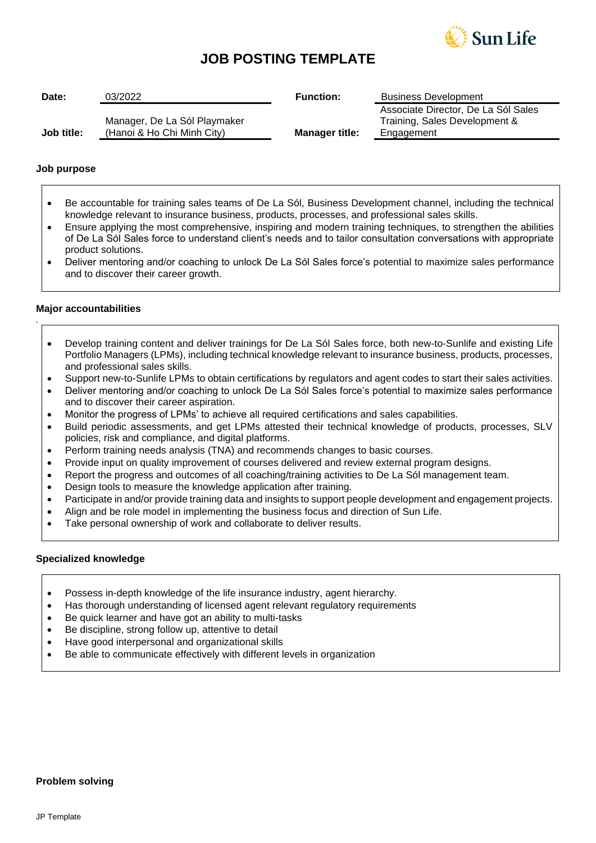

# **JOB POSTING TEMPLATE**

| Date:      | 03/2022                                                    | <b>Function:</b>      | <b>Business Development</b>                                                        |
|------------|------------------------------------------------------------|-----------------------|------------------------------------------------------------------------------------|
| Job title: | Manager, De La Sól Playmaker<br>(Hanoi & Ho Chi Minh City) | <b>Manager title:</b> | Associate Director, De La Sól Sales<br>Training, Sales Development &<br>Engagement |

### **Job purpose**

- Be accountable for training sales teams of De La Sól, Business Development channel, including the technical knowledge relevant to insurance business, products, processes, and professional sales skills.
- Ensure applying the most comprehensive, inspiring and modern training techniques, to strengthen the abilities of De La Sól Sales force to understand client's needs and to tailor consultation conversations with appropriate product solutions.
- Deliver mentoring and/or coaching to unlock De La Sól Sales force's potential to maximize sales performance and to discover their career growth.

## **Major accountabilities**

*.*

- Develop training content and deliver trainings for De La Sól Sales force, both new-to-Sunlife and existing Life Portfolio Managers (LPMs), including technical knowledge relevant to insurance business, products, processes, and professional sales skills.
- Support new-to-Sunlife LPMs to obtain certifications by regulators and agent codes to start their sales activities.
- Deliver mentoring and/or coaching to unlock De La Sól Sales force's potential to maximize sales performance and to discover their career aspiration.
- Monitor the progress of LPMs' to achieve all required certifications and sales capabilities.
- Build periodic assessments, and get LPMs attested their technical knowledge of products, processes, SLV policies, risk and compliance, and digital platforms.
- Perform training needs analysis (TNA) and recommends changes to basic courses.
- Provide input on quality improvement of courses delivered and review external program designs.
- Report the progress and outcomes of all coaching/training activities to De La Sól management team.
- Design tools to measure the knowledge application after training.
- Participate in and/or provide training data and insights to support people development and engagement projects.
- Align and be role model in implementing the business focus and direction of Sun Life.
- Take personal ownership of work and collaborate to deliver results.

# **Specialized knowledge**

- Possess in-depth knowledge of the life insurance industry, agent hierarchy.
- Has thorough understanding of licensed agent relevant regulatory requirements
- Be quick learner and have got an ability to multi-tasks
- Be discipline, strong follow up, attentive to detail
- Have good interpersonal and organizational skills
- Be able to communicate effectively with different levels in organization

#### **Problem solving**